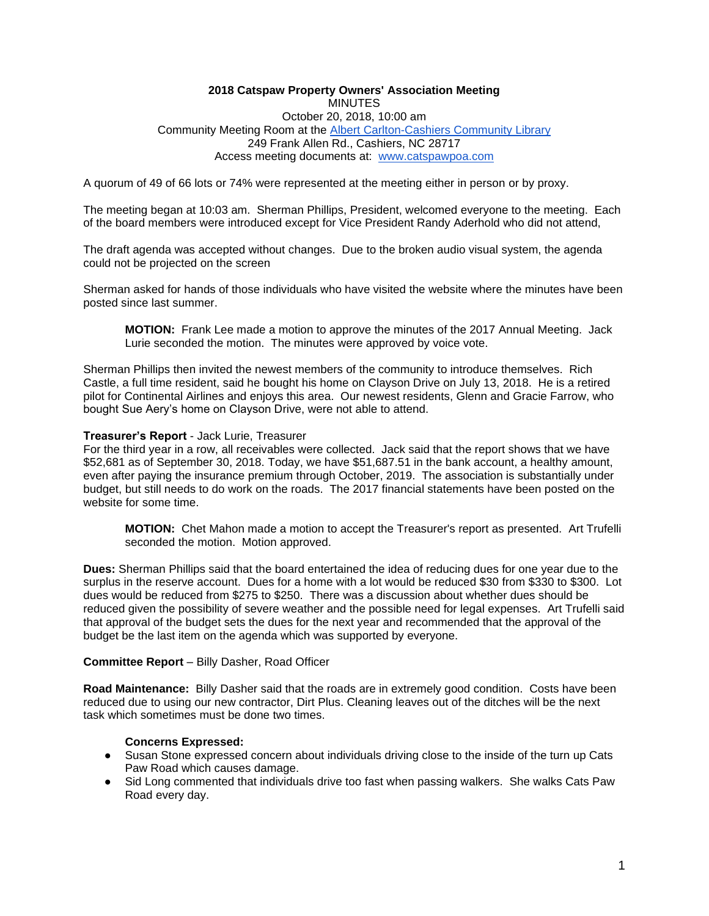#### **2018 Catspaw Property Owners' Association Meeting MINUTES** October 20, 2018, 10:00 am Community Meeting Room at th[e](http://www.fontanalib.org/cashiers) [Albert Carlton-Cashiers](http://www.fontanalib.org/cashiers) [Community Library](http://www.fontanalib.org/cashiers) 249 Frank Allen Rd., Cashiers, NC 28717 Access meeting documents at: [www.catspawpoa.com](http://www.catspawpoa.com/)

A quorum of 49 of 66 lots or 74% were represented at the meeting either in person or by proxy.

The meeting began at 10:03 am. Sherman Phillips, President, welcomed everyone to the meeting. Each of the board members were introduced except for Vice President Randy Aderhold who did not attend,

The draft agenda was accepted without changes. Due to the broken audio visual system, the agenda could not be projected on the screen

Sherman asked for hands of those individuals who have visited the website where the minutes have been posted since last summer.

**MOTION:** Frank Lee made a motion to approve the minutes of the 2017 Annual Meeting. Jack Lurie seconded the motion. The minutes were approved by voice vote.

Sherman Phillips then invited the newest members of the community to introduce themselves. Rich Castle, a full time resident, said he bought his home on Clayson Drive on July 13, 2018. He is a retired pilot for Continental Airlines and enjoys this area. Our newest residents, Glenn and Gracie Farrow, who bought Sue Aery's home on Clayson Drive, were not able to attend.

#### **Treasurer's Report** - Jack Lurie, Treasurer

For the third year in a row, all receivables were collected. Jack said that the report shows that we have \$52,681 as of September 30, 2018. Today, we have \$51,687.51 in the bank account, a healthy amount, even after paying the insurance premium through October, 2019. The association is substantially under budget, but still needs to do work on the roads. The 2017 financial statements have been posted on the website for some time.

**MOTION:** Chet Mahon made a motion to accept the Treasurer's report as presented. Art Trufelli seconded the motion. Motion approved.

**Dues:** Sherman Phillips said that the board entertained the idea of reducing dues for one year due to the surplus in the reserve account. Dues for a home with a lot would be reduced \$30 from \$330 to \$300. Lot dues would be reduced from \$275 to \$250. There was a discussion about whether dues should be reduced given the possibility of severe weather and the possible need for legal expenses. Art Trufelli said that approval of the budget sets the dues for the next year and recommended that the approval of the budget be the last item on the agenda which was supported by everyone.

#### **Committee Report** – Billy Dasher, Road Officer

**Road Maintenance:** Billy Dasher said that the roads are in extremely good condition. Costs have been reduced due to using our new contractor, Dirt Plus. Cleaning leaves out of the ditches will be the next task which sometimes must be done two times.

#### **Concerns Expressed:**

- Susan Stone expressed concern about individuals driving close to the inside of the turn up Cats Paw Road which causes damage.
- Sid Long commented that individuals drive too fast when passing walkers. She walks Cats Paw Road every day.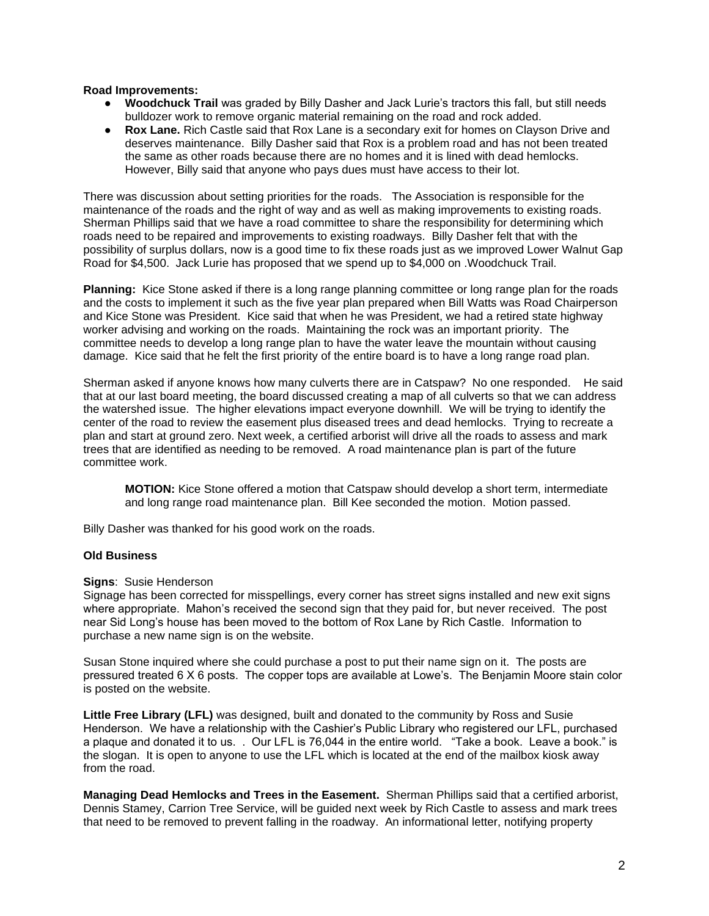#### **Road Improvements:**

- **Woodchuck Trail** was graded by Billy Dasher and Jack Lurie's tractors this fall, but still needs bulldozer work to remove organic material remaining on the road and rock added.
- **Rox Lane.** Rich Castle said that Rox Lane is a secondary exit for homes on Clayson Drive and deserves maintenance. Billy Dasher said that Rox is a problem road and has not been treated the same as other roads because there are no homes and it is lined with dead hemlocks. However, Billy said that anyone who pays dues must have access to their lot.

There was discussion about setting priorities for the roads. The Association is responsible for the maintenance of the roads and the right of way and as well as making improvements to existing roads. Sherman Phillips said that we have a road committee to share the responsibility for determining which roads need to be repaired and improvements to existing roadways. Billy Dasher felt that with the possibility of surplus dollars, now is a good time to fix these roads just as we improved Lower Walnut Gap Road for \$4,500. Jack Lurie has proposed that we spend up to \$4,000 on .Woodchuck Trail.

**Planning:** Kice Stone asked if there is a long range planning committee or long range plan for the roads and the costs to implement it such as the five year plan prepared when Bill Watts was Road Chairperson and Kice Stone was President. Kice said that when he was President, we had a retired state highway worker advising and working on the roads. Maintaining the rock was an important priority. The committee needs to develop a long range plan to have the water leave the mountain without causing damage. Kice said that he felt the first priority of the entire board is to have a long range road plan.

Sherman asked if anyone knows how many culverts there are in Catspaw? No one responded. He said that at our last board meeting, the board discussed creating a map of all culverts so that we can address the watershed issue. The higher elevations impact everyone downhill. We will be trying to identify the center of the road to review the easement plus diseased trees and dead hemlocks. Trying to recreate a plan and start at ground zero. Next week, a certified arborist will drive all the roads to assess and mark trees that are identified as needing to be removed. A road maintenance plan is part of the future committee work.

**MOTION:** Kice Stone offered a motion that Catspaw should develop a short term, intermediate and long range road maintenance plan. Bill Kee seconded the motion. Motion passed.

Billy Dasher was thanked for his good work on the roads.

#### **Old Business**

#### **Signs**: Susie Henderson

Signage has been corrected for misspellings, every corner has street signs installed and new exit signs where appropriate. Mahon's received the second sign that they paid for, but never received. The post near Sid Long's house has been moved to the bottom of Rox Lane by Rich Castle. Information to purchase a new name sign is on the website.

Susan Stone inquired where she could purchase a post to put their name sign on it. The posts are pressured treated 6 X 6 posts. The copper tops are available at Lowe's. The Benjamin Moore stain color is posted on the website.

**Little Free Library (LFL)** was designed, built and donated to the community by Ross and Susie Henderson. We have a relationship with the Cashier's Public Library who registered our LFL, purchased a plaque and donated it to us. . Our LFL is 76,044 in the entire world. "Take a book. Leave a book." is the slogan. It is open to anyone to use the LFL which is located at the end of the mailbox kiosk away from the road.

**Managing Dead Hemlocks and Trees in the Easement.** Sherman Phillips said that a certified arborist, Dennis Stamey, Carrion Tree Service, will be guided next week by Rich Castle to assess and mark trees that need to be removed to prevent falling in the roadway. An informational letter, notifying property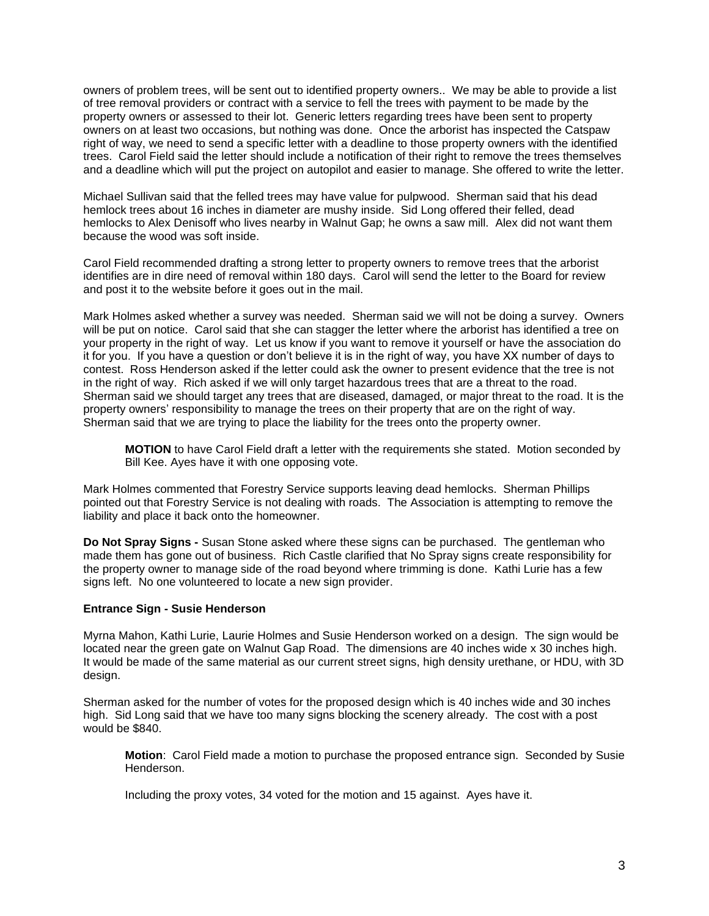owners of problem trees, will be sent out to identified property owners.. We may be able to provide a list of tree removal providers or contract with a service to fell the trees with payment to be made by the property owners or assessed to their lot. Generic letters regarding trees have been sent to property owners on at least two occasions, but nothing was done. Once the arborist has inspected the Catspaw right of way, we need to send a specific letter with a deadline to those property owners with the identified trees. Carol Field said the letter should include a notification of their right to remove the trees themselves and a deadline which will put the project on autopilot and easier to manage. She offered to write the letter.

Michael Sullivan said that the felled trees may have value for pulpwood. Sherman said that his dead hemlock trees about 16 inches in diameter are mushy inside. Sid Long offered their felled, dead hemlocks to Alex Denisoff who lives nearby in Walnut Gap; he owns a saw mill. Alex did not want them because the wood was soft inside.

Carol Field recommended drafting a strong letter to property owners to remove trees that the arborist identifies are in dire need of removal within 180 days. Carol will send the letter to the Board for review and post it to the website before it goes out in the mail.

Mark Holmes asked whether a survey was needed. Sherman said we will not be doing a survey. Owners will be put on notice. Carol said that she can stagger the letter where the arborist has identified a tree on your property in the right of way. Let us know if you want to remove it yourself or have the association do it for you. If you have a question or don't believe it is in the right of way, you have XX number of days to contest. Ross Henderson asked if the letter could ask the owner to present evidence that the tree is not in the right of way. Rich asked if we will only target hazardous trees that are a threat to the road. Sherman said we should target any trees that are diseased, damaged, or major threat to the road. It is the property owners' responsibility to manage the trees on their property that are on the right of way. Sherman said that we are trying to place the liability for the trees onto the property owner.

**MOTION** to have Carol Field draft a letter with the requirements she stated. Motion seconded by Bill Kee. Ayes have it with one opposing vote.

Mark Holmes commented that Forestry Service supports leaving dead hemlocks. Sherman Phillips pointed out that Forestry Service is not dealing with roads. The Association is attempting to remove the liability and place it back onto the homeowner.

**Do Not Spray Signs -** Susan Stone asked where these signs can be purchased. The gentleman who made them has gone out of business. Rich Castle clarified that No Spray signs create responsibility for the property owner to manage side of the road beyond where trimming is done. Kathi Lurie has a few signs left. No one volunteered to locate a new sign provider.

#### **Entrance Sign - Susie Henderson**

Myrna Mahon, Kathi Lurie, Laurie Holmes and Susie Henderson worked on a design. The sign would be located near the green gate on Walnut Gap Road. The dimensions are 40 inches wide x 30 inches high. It would be made of the same material as our current street signs, high density urethane, or HDU, with 3D design.

Sherman asked for the number of votes for the proposed design which is 40 inches wide and 30 inches high. Sid Long said that we have too many signs blocking the scenery already. The cost with a post would be \$840.

**Motion**: Carol Field made a motion to purchase the proposed entrance sign. Seconded by Susie Henderson.

Including the proxy votes, 34 voted for the motion and 15 against. Ayes have it.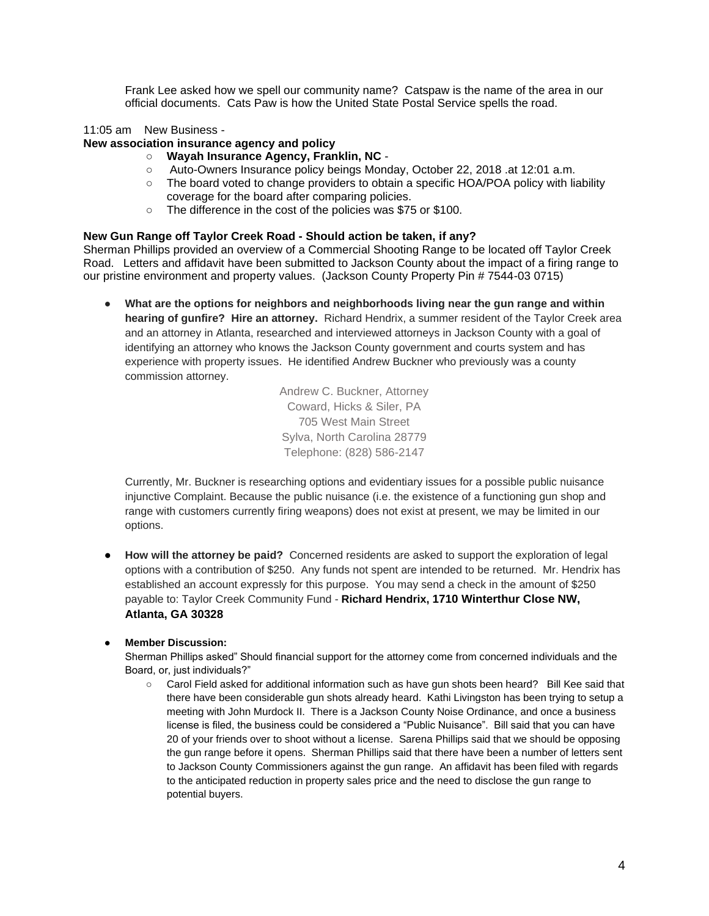Frank Lee asked how we spell our community name? Catspaw is the name of the area in our official documents. Cats Paw is how the United State Postal Service spells the road.

### 11:05 am New Business -

#### **New association insurance agency and policy**

- **Wayah Insurance Agency, Franklin, NC** -
- Auto-Owners Insurance policy beings Monday, October 22, 2018 .at 12:01 a.m.
- The board voted to change providers to obtain a specific HOA/POA policy with liability coverage for the board after comparing policies.
- The difference in the cost of the policies was \$75 or \$100.

#### **New Gun Range off Taylor Creek Road - Should action be taken, if any?**

Sherman Phillips provided an overview of a Commercial Shooting Range to be located off Taylor Creek Road.Letters and affidavit have been submitted to Jackson County about the impact of a firing range to our pristine environment and property values. (Jackson County Property Pin # 7544-03 0715)

What are the options for neighbors and neighborhoods living near the gun range and within **hearing of gunfire? Hire an attorney.** Richard Hendrix, a summer resident of the Taylor Creek area and an attorney in Atlanta, researched and interviewed attorneys in Jackson County with a goal of identifying an attorney who knows the Jackson County government and courts system and has experience with property issues. He identified Andrew Buckner who previously was a county commission attorney.

> Andrew C. Buckner, Attorney Coward, Hicks & Siler, PA 705 West Main Street Sylva, North Carolina 28779 Telephone: (828) 586-2147

Currently, Mr. Buckner is researching options and evidentiary issues for a possible public nuisance injunctive Complaint. Because the public nuisance (i.e. the existence of a functioning gun shop and range with customers currently firing weapons) does not exist at present, we may be limited in our options.

● **How will the attorney be paid?** Concerned residents are asked to support the exploration of legal options with a contribution of \$250. Any funds not spent are intended to be returned. Mr. Hendrix has established an account expressly for this purpose. You may send a check in the amount of \$250 payable to: Taylor Creek Community Fund - **Richard Hendrix, [1710 Winterthur Close NW,](https://maps.google.com/maps?q=1710%20Winterthur%20Close%20NW%2C%20Atlanta%2C%20GA%2030328%2C%20US&hl=en&authuser=0)  [Atlanta, GA 30328](https://maps.google.com/maps?q=1710%20Winterthur%20Close%20NW%2C%20Atlanta%2C%20GA%2030328%2C%20US&hl=en&authuser=0)**

## ● **Member Discussion:**

Sherman Phillips asked" Should financial support for the attorney come from concerned individuals and the Board, or, just individuals?"

○ Carol Field asked for additional information such as have gun shots been heard? Bill Kee said that there have been considerable gun shots already heard. Kathi Livingston has been trying to setup a meeting with John Murdock II. There is a Jackson County Noise Ordinance, and once a business license is filed, the business could be considered a "Public Nuisance". Bill said that you can have 20 of your friends over to shoot without a license. Sarena Phillips said that we should be opposing the gun range before it opens. Sherman Phillips said that there have been a number of letters sent to Jackson County Commissioners against the gun range. An affidavit has been filed with regards to the anticipated reduction in property sales price and the need to disclose the gun range to potential buyers.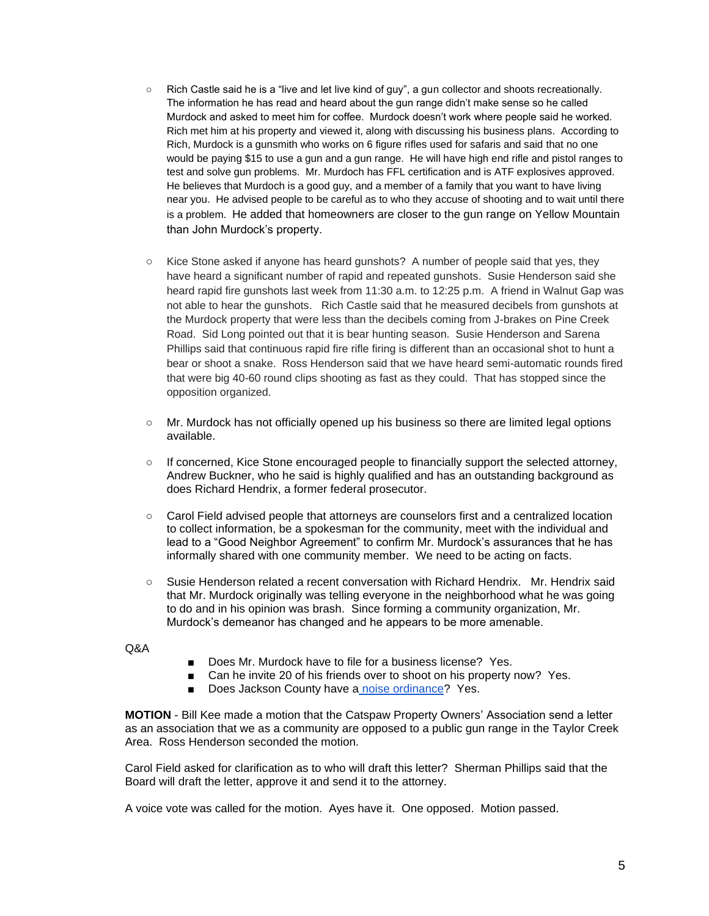- Rich Castle said he is a "live and let live kind of guy", a gun collector and shoots recreationally. The information he has read and heard about the gun range didn't make sense so he called Murdock and asked to meet him for coffee. Murdock doesn't work where people said he worked. Rich met him at his property and viewed it, along with discussing his business plans. According to Rich, Murdock is a gunsmith who works on 6 figure rifles used for safaris and said that no one would be paying \$15 to use a gun and a gun range. He will have high end rifle and pistol ranges to test and solve gun problems. Mr. Murdoch has FFL certification and is ATF explosives approved. He believes that Murdoch is a good guy, and a member of a family that you want to have living near you. He advised people to be careful as to who they accuse of shooting and to wait until there is a problem. He added that homeowners are closer to the gun range on Yellow Mountain than John Murdock's property.
- Kice Stone asked if anyone has heard gunshots? A number of people said that yes, they have heard a significant number of rapid and repeated gunshots. Susie Henderson said she heard rapid fire gunshots last week from 11:30 a.m. to 12:25 p.m. A friend in Walnut Gap was not able to hear the gunshots. Rich Castle said that he measured decibels from gunshots at the Murdock property that were less than the decibels coming from J-brakes on Pine Creek Road. Sid Long pointed out that it is bear hunting season. Susie Henderson and Sarena Phillips said that continuous rapid fire rifle firing is different than an occasional shot to hunt a bear or shoot a snake. Ross Henderson said that we have heard semi-automatic rounds fired that were big 40-60 round clips shooting as fast as they could. That has stopped since the opposition organized.
- Mr. Murdock has not officially opened up his business so there are limited legal options available.
- If concerned, Kice Stone encouraged people to financially support the selected attorney, Andrew Buckner, who he said is highly qualified and has an outstanding background as does Richard Hendrix, a former federal prosecutor.
- Carol Field advised people that attorneys are counselors first and a centralized location to collect information, be a spokesman for the community, meet with the individual and lead to a "Good Neighbor Agreement" to confirm Mr. Murdock's assurances that he has informally shared with one community member. We need to be acting on facts.
- Susie Henderson related a recent conversation with Richard Hendrix. Mr. Hendrix said that Mr. Murdock originally was telling everyone in the neighborhood what he was going to do and in his opinion was brash. Since forming a community organization, Mr. Murdock's demeanor has changed and he appears to be more amenable.

Q&A

- Does Mr. Murdock have to file for a business license? Yes.
- Can he invite 20 of his friends over to shoot on his property now? Yes.
- Does Jackson County have a [noise ordinance?](https://library.municode.com/nc/jackson_county/codes/code_of_ordinances?nodeId=CD_ORD_CH10EN_ARTIIINO) Yes.

**MOTION** - Bill Kee made a motion that the Catspaw Property Owners' Association send a letter as an association that we as a community are opposed to a public gun range in the Taylor Creek Area. Ross Henderson seconded the motion.

Carol Field asked for clarification as to who will draft this letter? Sherman Phillips said that the Board will draft the letter, approve it and send it to the attorney.

A voice vote was called for the motion. Ayes have it. One opposed. Motion passed.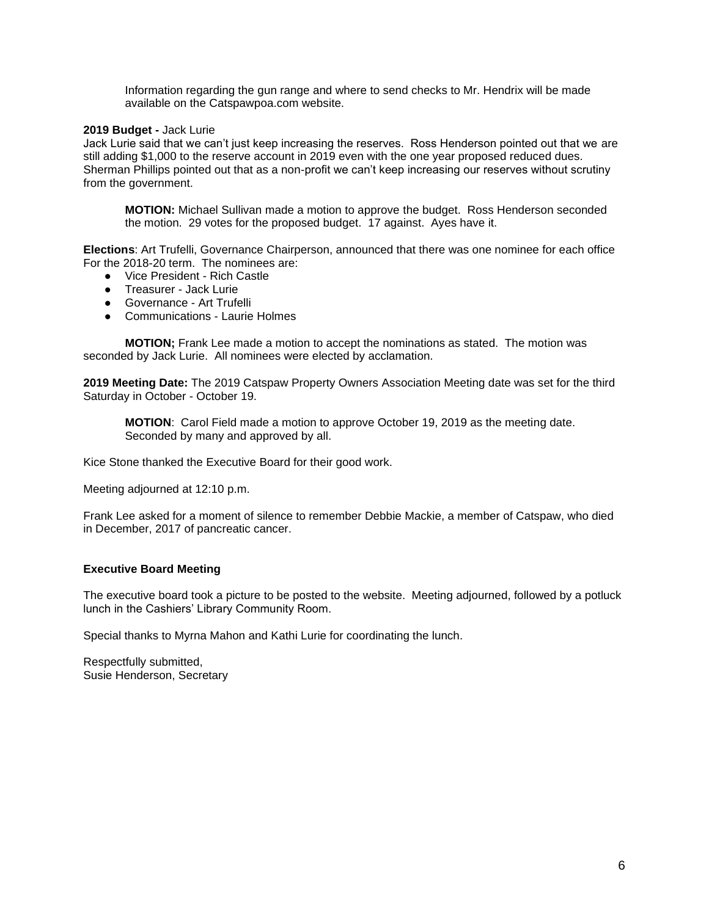Information regarding the gun range and where to send checks to Mr. Hendrix will be made available on the Catspawpoa.com website.

#### **2019 Budget -** Jack Lurie

Jack Lurie said that we can't just keep increasing the reserves. Ross Henderson pointed out that we are still adding \$1,000 to the reserve account in 2019 even with the one year proposed reduced dues. Sherman Phillips pointed out that as a non-profit we can't keep increasing our reserves without scrutiny from the government.

**MOTION:** Michael Sullivan made a motion to approve the budget. Ross Henderson seconded the motion. 29 votes for the proposed budget. 17 against. Ayes have it.

**Elections**: Art Trufelli, Governance Chairperson, announced that there was one nominee for each office For the 2018-20 term. The nominees are:

- Vice President Rich Castle
- Treasurer Jack Lurie
- Governance Art Trufelli
- Communications Laurie Holmes

**MOTION;** Frank Lee made a motion to accept the nominations as stated. The motion was seconded by Jack Lurie. All nominees were elected by acclamation.

**2019 Meeting Date:** The 2019 Catspaw Property Owners Association Meeting date was set for the third Saturday in October - October 19.

**MOTION**: Carol Field made a motion to approve October 19, 2019 as the meeting date. Seconded by many and approved by all.

Kice Stone thanked the Executive Board for their good work.

Meeting adjourned at 12:10 p.m.

Frank Lee asked for a moment of silence to remember Debbie Mackie, a member of Catspaw, who died in December, 2017 of pancreatic cancer.

#### **Executive Board Meeting**

The executive board took a picture to be posted to the website. Meeting adjourned, followed by a potluck lunch in the Cashiers' Library Community Room.

Special thanks to Myrna Mahon and Kathi Lurie for coordinating the lunch.

Respectfully submitted, Susie Henderson, Secretary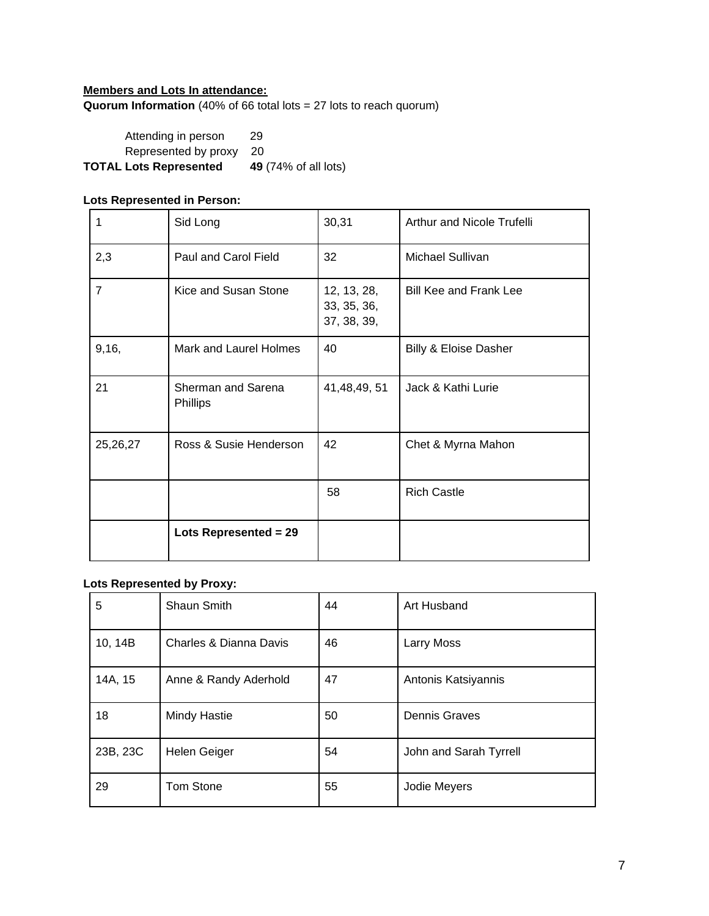## **Members and Lots In attendance: Quorum Information** (40% of 66 total lots = 27 lots to reach quorum)

Attending in person 29 Represented by proxy 20 **TOTAL Lots Represented 49** (74% of all lots)

# **Lots Represented in Person:**

| 1              | Sid Long                              | 30,31                                     | Arthur and Nicole Trufelli       |
|----------------|---------------------------------------|-------------------------------------------|----------------------------------|
| 2,3            | Paul and Carol Field                  | 32                                        | Michael Sullivan                 |
| $\overline{7}$ | Kice and Susan Stone                  | 12, 13, 28,<br>33, 35, 36,<br>37, 38, 39, | <b>Bill Kee and Frank Lee</b>    |
| 9,16,          | Mark and Laurel Holmes                | 40                                        | <b>Billy &amp; Eloise Dasher</b> |
| 21             | Sherman and Sarena<br><b>Phillips</b> | 41,48,49,51                               | Jack & Kathi Lurie               |
| 25,26,27       | Ross & Susie Henderson                | 42                                        | Chet & Myrna Mahon               |
|                |                                       | 58                                        | <b>Rich Castle</b>               |
|                | Lots Represented = 29                 |                                           |                                  |

# **Lots Represented by Proxy:**

| 5        | Shaun Smith            | 44 | Art Husband            |
|----------|------------------------|----|------------------------|
| 10, 14B  | Charles & Dianna Davis | 46 | Larry Moss             |
| 14A, 15  | Anne & Randy Aderhold  | 47 | Antonis Katsiyannis    |
| 18       | <b>Mindy Hastie</b>    | 50 | <b>Dennis Graves</b>   |
| 23B, 23C | Helen Geiger           | 54 | John and Sarah Tyrrell |
| 29       | Tom Stone              | 55 | Jodie Meyers           |